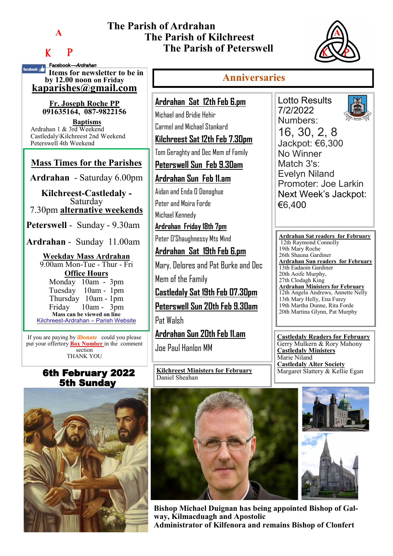**A**

# K P

Facebook—Ardrahan

## **The Parish of Ardrahan The Parish of Kilchreest The Parish of Peterswell**



#### **If the service of the service of the service of the service of the service of the service of the service of the service of the service of the service of the series of the series of the series of the series of the series o by 12.00 noon on Friday [kaparishes@gmail.com](mailto:kaparish@gmail.com) Fr. Joseph Roche PP 091635164, 087-9822156**  If you are paying by **iDonate** could you please put your offertory **Box Number** in the comment section THANK YOU **Ardrahan Sat 12th Feb 6.pm** Michael and Bridie Hehir Carmel and Michael Stankard **Kilchreest Sat 12th Feb 7.30pm** Tom Geraghty and Dec Mem of Family **Peterswell Sun Feb 9.30am Ardrahan Sun Feb 11.am** Aidan and Enda O Donoghue Peter and Moira Forde Michael Kennedy **Ardrahan Friday 18th 7pm** Peter O'Shaughnessy Mts Mind **Ardrahan Sat 19th Feb 6.pm** Mary, Delores and Pat Burke and Dec Mem of the Family **Castledaly Sat 19th Feb 07.30pm Peterswell Sun 20th Feb 9.30am** Pat Walsh **Ardrahan Sun 20th Feb 11.am** Joe Paul Hanlon MM **Mass Times for the Parishes Ardrahan** - Saturday 6.00pm **Kilchreest-Castledaly -**  Saturday 7.30pm **alternative weekends Peterswell** - Sunday - 9.30am **Ardrahan** - Sunday 11.00am **Weekday Mass Ardrahan**  9.00am Mon-Tue - Thur - Fri **Office Hours**  Monday 10am - 3pm Tuesday 10am - 1pm Thursday 10am - 1pm Friday 10am - 3pm **Mass can be viewed on line**  Kilchreest-Ardrahan – Parish Website **Baptisms** Ardrahan 1 & 3rd Weekend Castledaly\Kilchreest 2nd Weekend Peterswell 4th Weekend

### 6th February 2022 5th Sunday



**Anniversaries** Lotto Results 7/2/2022 Numbers: No Winner Match 3's: €6,400 19th Mary Roche 26th Shauna Gardiner

**Kilchreest Ministers for February** Daniel Sheahan

16, 30, 2, 8 Jackpot: €6,300 Evelyn Niland Promoter: Joe Larkin Next Week's Jackpot:

**Ardrahan Sat readers for February**  12th Raymond Connolly **Ardrahan Sun readers for February** 13th Eadaoin Gardiner 20th Aoife Murphy, 27th Clodagh King **Ardrahan Ministers for February** 12th Angela Andrews, Annette Nelly 13th Mary Helly, Ena Furey 19th Martha Dunne, Rita Forde 20th Martina Glynn, Pat Murphy

**Castledaly Readers for February** Gerry Mulkern & Rory Mahony **Castledaly Ministers** Marie Niland **Castledaly Alter Society** Margaret Slattery & Kellie Egan





**Bishop Michael Duignan has being appointed Bishop of Galway, Kilmacduagh and Apostolic Administrator of Kilfenora and remains Bishop of Clonfert**